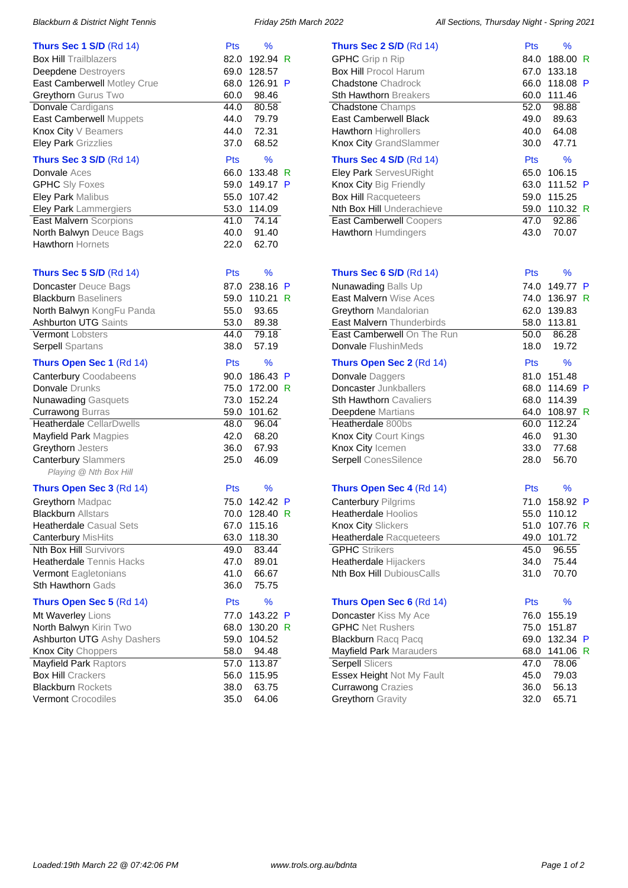| <b>Thurs Sec 1 S/D (Rd 14)</b>    | Pts        | %             |    |
|-----------------------------------|------------|---------------|----|
| <b>Box Hill Trailblazers</b>      | 82.0       | 192.94        | R  |
| <b>Deepdene</b> Destroyers        | 69.0       | 128.57        |    |
| East Camberwell Motley Crue       | 68.0       | 126.91        | P  |
| Greythorn Gurus Two               | 60.0       | 98.46         |    |
| Donvale Cardigans                 | 44.0       | 80.58         |    |
| East Camberwell Muppets           | 44.0       | 79.79         |    |
| Knox City V Beamers               | 44.0       | 72.31         |    |
| <b>Eley Park Grizzlies</b>        | 37.0       | 68.52         |    |
| Thurs Sec 3 S/D (Rd 14)           | Pts        | $\frac{9}{6}$ |    |
| <b>Donvale</b> Aces               | 66.0       | 133.48        | R  |
| <b>GPHC</b> Sly Foxes             | 59.0       | 149.17 P      |    |
| Eley Park Malibus                 | 55.0       | 107.42        |    |
| Eley Park Lammergiers             | 53.0       | 114.09        |    |
| <b>East Malvern Scorpions</b>     | 41.0       | 74.14         |    |
| North Balwyn Deuce Bags           | 40.0       | 91.40         |    |
| <b>Hawthorn Hornets</b>           | 22.0       | 62.70         |    |
|                                   |            |               |    |
| <b>Thurs Sec 5 S/D (Rd 14)</b>    | Pts        | %             |    |
| Doncaster Deuce Bags              | 87.0       | 238.16        | P  |
| <b>Blackburn Baseliners</b>       | 59.0       | 110.21        | R  |
| North Balwyn KongFu Panda         | 55.0       | 93.65         |    |
| <b>Ashburton UTG Saints</b>       | 53.0       | 89.38         |    |
| <b>Vermont Lobsters</b>           | 44.0       | 79.18         |    |
| <b>Serpell</b> Spartans           | 38.0       | 57.19         |    |
| Thurs Open Sec 1 (Rd 14)          | <b>Pts</b> | $\frac{9}{6}$ |    |
| <b>Canterbury Coodabeens</b>      | 90.0       | 186.43        | P  |
| Donvale Drunks                    | 75.0       | 172.00        | -R |
| <b>Nunawading Gasquets</b>        | 73.0       | 152.24        |    |
| <b>Currawong Burras</b>           | 59.0       | 101.62        |    |
| Heatherdale CellarDwells          | 48.0       | 96.04         |    |
| Mayfield Park Magpies             | 42.0       | 68.20         |    |
| Greythorn Jesters                 | 36.0       | 67.93         |    |
| <b>Canterbury Slammers</b>        | 25.0       | 46.09         |    |
| Playing @ Nth Box Hill            |            |               |    |
| Thurs Open Sec 3 (Rd 14)          | Pts        | %             |    |
| Greythorn Madpac                  | 75.0       | 142.42 P      |    |
| <b>Blackburn Allstars</b>         | 70.0       | 128.40 R      |    |
| <b>Heatherdale Casual Sets</b>    | 67.0       | 115.16        |    |
| Canterbury MisHits                | 63.0       | 118.30        |    |
| <b>Nth Box Hill Survivors</b>     | 49.0       | 83.44         |    |
| <b>Heatherdale</b> Tennis Hacks   | 47.0       | 89.01         |    |
| Vermont Eagletonians              | 41.0       | 66.67         |    |
| <b>Sth Hawthorn Gads</b>          | 36.0       | 75.75         |    |
| Thurs Open Sec 5 (Rd 14)          | Pts        | %             |    |
| Mt Waverley Lions                 | 77.0       | 143.22        | P  |
| North Balwyn Kirin Two            | 68.0       | 130.20 R      |    |
| <b>Ashburton UTG Ashy Dashers</b> | 59.0       | 104.52        |    |
| Knox City Choppers                | 58.0       | 94.48         |    |
| <b>Mayfield Park Raptors</b>      | 57.0       | 113.87        |    |
| <b>Box Hill Crackers</b>          | 56.0       | 115.95        |    |
| <b>Blackburn Rockets</b>          | 38.0       | 63.75         |    |
| Vermont Crocodiles                | 35.0       | 64.06         |    |

| <b>Thurs Sec 2 S/D</b> $(Rd 14)$ | <b>Pts</b> | %        |   |
|----------------------------------|------------|----------|---|
| <b>GPHC</b> Grip n Rip           | 84.0       | 188.00 R |   |
| <b>Box Hill Procol Harum</b>     | 67.0       | 133.18   |   |
| <b>Chadstone Chadrock</b>        | 66.0       | 118.08 P |   |
| <b>Sth Hawthorn Breakers</b>     | 60.0       | 111.46   |   |
| <b>Chadstone Champs</b>          | 52.0       | 98.88    |   |
| <b>East Camberwell Black</b>     | 49.0       | 89.63    |   |
| Hawthorn Highrollers             | 40.0       | 64.08    |   |
| Knox City GrandSlammer           | 30.0       | 47.71    |   |
|                                  |            |          |   |
| <b>Thurs Sec 4 S/D (Rd 14)</b>   | <b>Pts</b> | ℅        |   |
| Eley Park ServesURight           | 65.0       | 106.15   |   |
| Knox City Big Friendly           | 63.0       | 111.52 P |   |
| <b>Box Hill Racqueteers</b>      | 59.0       | 115.25   |   |
| Nth Box Hill Underachieve        | 59.0       | 110.32 R |   |
| <b>East Camberwell Coopers</b>   | 47.0       | 92.86    |   |
| Hawthorn Humdingers              | 43.0       | 70.07    |   |
|                                  |            |          |   |
|                                  |            |          |   |
| <b>Thurs Sec 6 S/D (Rd 14)</b>   | <b>Pts</b> | ℅        |   |
| Nunawading Balls Up              | 74.0       | 149.77 P |   |
| East Malvern Wise Aces           | 74.0       | 136.97 R |   |
| <b>Greythorn</b> Mandalorian     | 62.0       | 139.83   |   |
| East Malvern Thunderbirds        | 58.0       | 113.81   |   |
| East Camberwell On The Run       | 50.0       | 86.28    |   |
| <b>Donvale FlushinMeds</b>       | 18.0       | 19.72    |   |
| Thurs Open Sec 2 (Rd 14)         | <b>Pts</b> | %        |   |
| Donvale Daggers                  | 81.0       | 151.48   |   |
| <b>Doncaster</b> Junkballers     | 68.0       | 114.69 P |   |
|                                  |            |          |   |
| <b>Sth Hawthorn Cavaliers</b>    | 68.0       | 114.39   |   |
| Deepdene Martians                | 64.0       | 108.97 R |   |
| Heatherdale 800bs                | 60.0       | 112.24   |   |
| Knox City Court Kings            | 46.0       | 91.30    |   |
| Knox City Icemen                 | 33.0       | 77.68    |   |
| <b>Serpell</b> ConesSilence      | 28.0       | 56.70    |   |
|                                  |            |          |   |
| Thurs Open Sec 4 (Rd 14)         | Pts        | %        |   |
| <b>Canterbury Pilgrims</b>       | 71.0       | 158.92   | P |
| <b>Heatherdale Hoolios</b>       | 55.0       | 110.12   |   |
| Knox City Slickers               | 51.0       | 107.76   | R |
| <b>Heatherdale Racqueteers</b>   | 49.0       | 101.72   |   |
| <b>GPHC</b> Strikers             | 45.0       | 96.55    |   |
| Heatherdale Hijackers            | 34.0       | 75.44    |   |
| <b>Nth Box Hill DubiousCalls</b> | 31.0       | 70.70    |   |
|                                  |            |          |   |
| Thurs Open Sec 6 (Rd 14)         | <b>Pts</b> | ℅        |   |
| Doncaster Kiss My Ace            | 76.0       | 155.19   |   |
| <b>GPHC</b> Net Rushers          | 75.0       | 151.87   |   |
| <b>Blackburn Racq Pacq</b>       | 69.0       | 132.34   | P |
| Mayfield Park Marauders          | 68.0       | 141.06 R |   |
| <b>Serpell Slicers</b>           | 47.0       | 78.06    |   |
| <b>Essex Height Not My Fault</b> | 45.0       | 79.03    |   |
| <b>Currawong Crazies</b>         | 36.0       | 56.13    |   |
| Greythorn Gravity                | 32.0       | 65.71    |   |